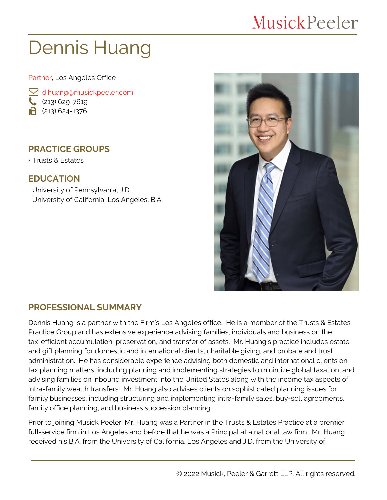## **MusickPeeler**

# Dennis Huang

Partner, Los Angeles Office

 [d.huang@musickpeeler.com](mailto:d.huang@musickpeeler.com)  $(213)$  629-7619  $\mathbf{a}$  (213) 624-1376

#### **PRACTICE GROUPS**

Trusts & Estates

#### **EDUCATION**

University of Pennsylvania, J.D. University of California, Los Angeles, B.A.



#### **PROFESSIONAL SUMMARY**

Dennis Huang is a partner with the Firm's Los Angeles office. He is a member of the Trusts & Estates Practice Group and has extensive experience advising families, individuals and business on the tax-efficient accumulation, preservation, and transfer of assets. Mr. Huang's practice includes estate and gift planning for domestic and international clients, charitable giving, and probate and trust administration. He has considerable experience advising both domestic and international clients on tax planning matters, including planning and implementing strategies to minimize global taxation, and advising families on inbound investment into the United States along with the income tax aspects of intra-family wealth transfers. Mr. Huang also advises clients on sophisticated planning issues for family businesses, including structuring and implementing intra-family sales, buy-sell agreements, family office planning, and business succession planning.

Prior to joining Musick Peeler, Mr. Huang was a Partner in the Trusts & Estates Practice at a premier full-service firm in Los Angeles and before that he was a Principal at a national law firm. Mr. Huang received his B.A. from the University of California, Los Angeles and J.D. from the University of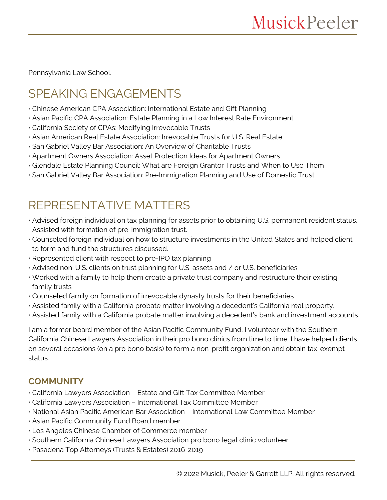Pennsylvania Law School.

## SPEAKING ENGAGEMENTS

- Chinese American CPA Association: International Estate and Gift Planning
- Asian Pacific CPA Association: Estate Planning in a Low Interest Rate Environment
- California Society of CPAs: Modifying Irrevocable Trusts
- Asian American Real Estate Association: Irrevocable Trusts for U.S. Real Estate
- San Gabriel Valley Bar Association: An Overview of Charitable Trusts
- Apartment Owners Association: Asset Protection Ideas for Apartment Owners
- Glendale Estate Planning Council: What are Foreign Grantor Trusts and When to Use Them
- San Gabriel Valley Bar Association: Pre-Immigration Planning and Use of Domestic Trust

### REPRESENTATIVE MATTERS

- Advised foreign individual on tax planning for assets prior to obtaining U.S. permanent resident status. Assisted with formation of pre-immigration trust.
- Counseled foreign individual on how to structure investments in the United States and helped client to form and fund the structures discussed.
- Represented client with respect to pre-IPO tax planning
- Advised non-U.S. clients on trust planning for U.S. assets and / or U.S. beneficiaries
- Worked with a family to help them create a private trust company and restructure their existing family trusts
- Counseled family on formation of irrevocable dynasty trusts for their beneficiaries
- Assisted family with a California probate matter involving a decedent's California real property.
- Assisted family with a California probate matter involving a decedent's bank and investment accounts.

I am a former board member of the Asian Pacific Community Fund. I volunteer with the Southern California Chinese Lawyers Association in their pro bono clinics from time to time. I have helped clients on several occasions (on a pro bono basis) to form a non-profit organization and obtain tax-exempt status.

#### **COMMUNITY**

- California Lawyers Association Estate and Gift Tax Committee Member
- California Lawyers Association International Tax Committee Member
- National Asian Pacific American Bar Association International Law Committee Member
- Asian Pacific Community Fund Board member
- Los Angeles Chinese Chamber of Commerce member
- Southern California Chinese Lawyers Association pro bono legal clinic volunteer
- Pasadena Top Attorneys (Trusts & Estates) 2016-2019